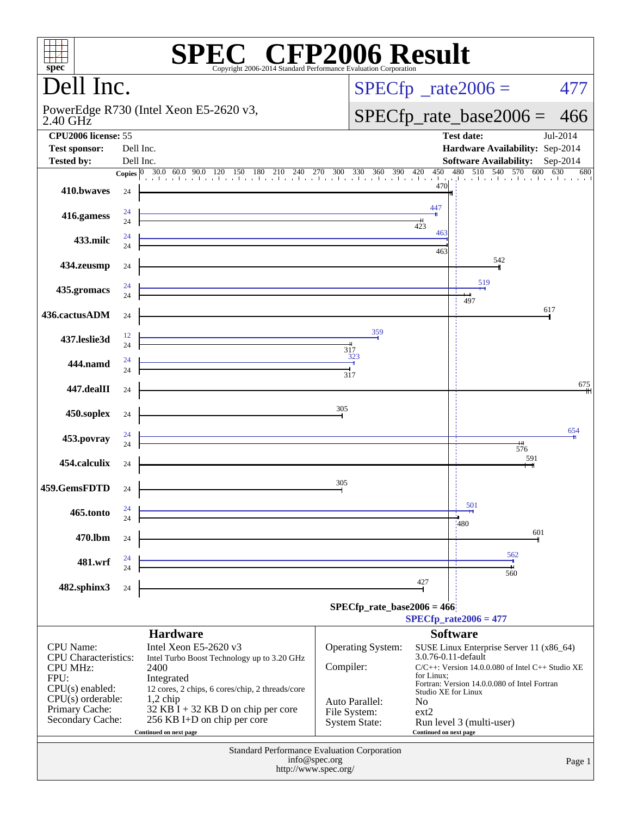| $spec^*$                                                                                                                                                     |                        | <b>PEC® CFP2006 Result</b><br>Copyright 2006-2014 Standard Performance Evaluation Corporation                                                                                                                                                                                   |                                                                                   |                                                                                                  |                                                                                                                                                                                                  |          |  |  |  |
|--------------------------------------------------------------------------------------------------------------------------------------------------------------|------------------------|---------------------------------------------------------------------------------------------------------------------------------------------------------------------------------------------------------------------------------------------------------------------------------|-----------------------------------------------------------------------------------|--------------------------------------------------------------------------------------------------|--------------------------------------------------------------------------------------------------------------------------------------------------------------------------------------------------|----------|--|--|--|
| Dell Inc.                                                                                                                                                    |                        |                                                                                                                                                                                                                                                                                 |                                                                                   | $SPECfp^*$ _rate2006 =<br>477                                                                    |                                                                                                                                                                                                  |          |  |  |  |
| $2.40$ GHz                                                                                                                                                   |                        | PowerEdge R730 (Intel Xeon E5-2620 v3,                                                                                                                                                                                                                                          |                                                                                   |                                                                                                  | $SPECfp_rate_base2006 = 466$                                                                                                                                                                     |          |  |  |  |
| <b>CPU2006</b> license: 55<br><b>Test sponsor:</b><br><b>Tested by:</b>                                                                                      | Dell Inc.<br>Dell Inc. |                                                                                                                                                                                                                                                                                 |                                                                                   |                                                                                                  | <b>Test date:</b><br>Hardware Availability: Sep-2014<br>Software Availability: Sep-2014                                                                                                          | Jul-2014 |  |  |  |
| 410.bwayes                                                                                                                                                   | 24                     | <b>Copies</b> $\begin{bmatrix} 0 & 30.0 & 60.0 & 90.0 & 120 & 150 & 180 & 210 & 240 & 270 & 300 & 330 & 360 & 390 & 420 & 450 & 480 & 510 & 540 & 570 & 600 & 630 & 680 \end{bmatrix}$                                                                                          |                                                                                   | 470                                                                                              |                                                                                                                                                                                                  |          |  |  |  |
| 416.gamess                                                                                                                                                   | 24                     |                                                                                                                                                                                                                                                                                 |                                                                                   | 447<br>423                                                                                       |                                                                                                                                                                                                  |          |  |  |  |
| 433.milc                                                                                                                                                     | 24                     |                                                                                                                                                                                                                                                                                 |                                                                                   | 463<br>463                                                                                       |                                                                                                                                                                                                  |          |  |  |  |
| 434.zeusmp                                                                                                                                                   | 24                     | <u> 1989 - Johann Barn, amerikansk politiker (d. 1989)</u>                                                                                                                                                                                                                      |                                                                                   |                                                                                                  | 542<br>519                                                                                                                                                                                       |          |  |  |  |
| 435.gromacs<br>436.cactusADM                                                                                                                                 | 24<br>24               | <u> 1989 - Johann Barn, amerikansk politiker (</u>                                                                                                                                                                                                                              |                                                                                   |                                                                                                  | 497<br>617                                                                                                                                                                                       |          |  |  |  |
| 437.leslie3d                                                                                                                                                 | 12                     |                                                                                                                                                                                                                                                                                 | 359                                                                               |                                                                                                  |                                                                                                                                                                                                  |          |  |  |  |
| 444.namd                                                                                                                                                     | 24                     | $\frac{323}{1}$                                                                                                                                                                                                                                                                 | 317<br>317                                                                        |                                                                                                  |                                                                                                                                                                                                  |          |  |  |  |
| 447.dealII                                                                                                                                                   | 24                     | <u> 1989 - Johann Barn, mars ann an t-Amhain Aonaich an t-Aonaich an t-Aonaich ann an t-Aonaich ann an t-Aonaich</u>                                                                                                                                                            |                                                                                   |                                                                                                  |                                                                                                                                                                                                  | 675      |  |  |  |
| 450.soplex                                                                                                                                                   | 24                     | <u> 1980 - Johann Barn, mars an t-Amerikaansk ferske område og de formanner og de formanner og de formanner og de</u>                                                                                                                                                           | 305                                                                               |                                                                                                  |                                                                                                                                                                                                  | 654      |  |  |  |
| 453.povray                                                                                                                                                   | 24                     |                                                                                                                                                                                                                                                                                 |                                                                                   |                                                                                                  | 576<br>591                                                                                                                                                                                       |          |  |  |  |
| 454.calculix<br>459.GemsFDTD                                                                                                                                 | 24<br>24               |                                                                                                                                                                                                                                                                                 | 305                                                                               |                                                                                                  |                                                                                                                                                                                                  |          |  |  |  |
| 465.tonto                                                                                                                                                    | 24<br>24               |                                                                                                                                                                                                                                                                                 |                                                                                   |                                                                                                  | 501                                                                                                                                                                                              |          |  |  |  |
| 470.lbm                                                                                                                                                      | 24                     |                                                                                                                                                                                                                                                                                 |                                                                                   |                                                                                                  | <b>:480</b><br>601                                                                                                                                                                               |          |  |  |  |
| 481.wrf                                                                                                                                                      | 24<br>24               |                                                                                                                                                                                                                                                                                 |                                                                                   |                                                                                                  | 562<br>560                                                                                                                                                                                       |          |  |  |  |
| 482.sphinx3                                                                                                                                                  | 24                     |                                                                                                                                                                                                                                                                                 | $SPECfp_rate_base2006 = 466$                                                      | 427                                                                                              | $SPECfp_{rate}2006 = 477$                                                                                                                                                                        |          |  |  |  |
| <b>CPU</b> Name:<br><b>CPU</b> Characteristics:<br><b>CPU MHz:</b><br>FPU:<br>$CPU(s)$ enabled:<br>$CPU(s)$ orderable:<br>Primary Cache:<br>Secondary Cache: |                        | <b>Hardware</b><br>Intel Xeon E5-2620 v3<br>Intel Turbo Boost Technology up to 3.20 GHz<br>2400<br>Integrated<br>12 cores, 2 chips, 6 cores/chip, 2 threads/core<br>$1,2$ chip<br>$32$ KB I + 32 KB D on chip per core<br>256 KB I+D on chip per core<br>Continued on next page | Operating System:<br>Compiler:<br>Auto Parallel:<br>File System:<br>System State: | 3.0.76-0.11-default<br>for Linux;<br>Studio XE for Linux<br>No<br>ext2<br>Continued on next page | <b>Software</b><br>SUSE Linux Enterprise Server 11 (x86_64)<br>$C/C++$ : Version 14.0.0.080 of Intel $C++$ Studio XE<br>Fortran: Version 14.0.0.080 of Intel Fortran<br>Run level 3 (multi-user) |          |  |  |  |
| Standard Performance Evaluation Corporation<br>info@spec.org<br>Page 1<br>http://www.spec.org/                                                               |                        |                                                                                                                                                                                                                                                                                 |                                                                                   |                                                                                                  |                                                                                                                                                                                                  |          |  |  |  |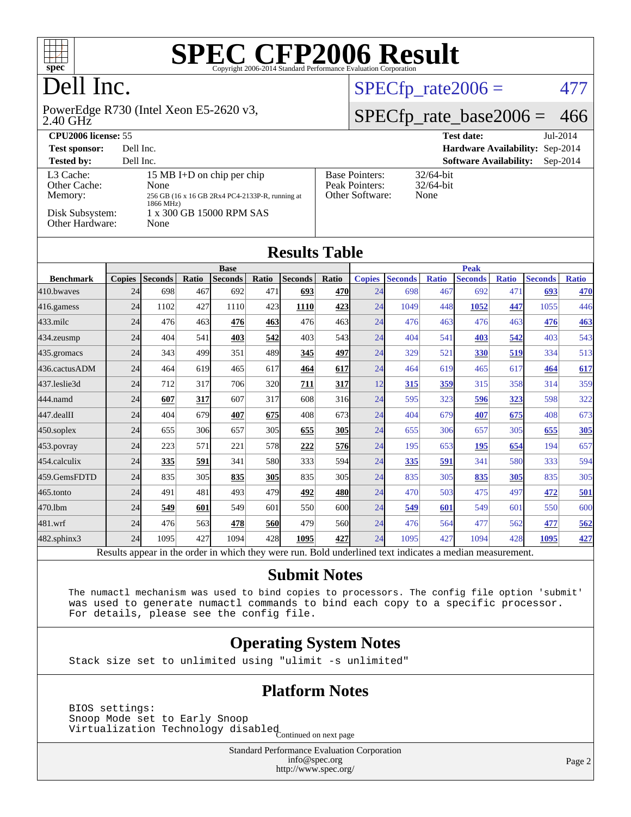

### Dell Inc.

#### 2.40 GHz PowerEdge R730 (Intel Xeon E5-2620 v3,

#### $SPECTp_rate2006 = 477$

#### [SPECfp\\_rate\\_base2006 =](http://www.spec.org/auto/cpu2006/Docs/result-fields.html#SPECfpratebase2006) 466

| CPU <sub>2006</sub> license: 55                                            |                                                                                                                                        |                                                            | <b>Test date:</b><br>Jul-2014               |
|----------------------------------------------------------------------------|----------------------------------------------------------------------------------------------------------------------------------------|------------------------------------------------------------|---------------------------------------------|
| <b>Test sponsor:</b>                                                       | Dell Inc.                                                                                                                              |                                                            | Hardware Availability: Sep-2014             |
| <b>Tested by:</b>                                                          | Dell Inc.                                                                                                                              |                                                            | <b>Software Availability:</b><br>$Sep-2014$ |
| L3 Cache:<br>Other Cache:<br>Memory:<br>Disk Subsystem:<br>Other Hardware: | 15 MB I+D on chip per chip<br>None<br>256 GB (16 x 16 GB 2Rx4 PC4-2133P-R, running at<br>1866 MHz)<br>1 x 300 GB 15000 RPM SAS<br>None | <b>Base Pointers:</b><br>Peak Pointers:<br>Other Software: | $32/64$ -bit<br>$32/64$ -bit<br>None        |

| <b>Results Table</b> |                                        |                |                 |                |       |                |       |               |                                                  |              |                 |              |                |              |
|----------------------|----------------------------------------|----------------|-----------------|----------------|-------|----------------|-------|---------------|--------------------------------------------------|--------------|-----------------|--------------|----------------|--------------|
|                      | <b>Base</b>                            |                |                 |                |       |                |       | <b>Peak</b>   |                                                  |              |                 |              |                |              |
| <b>Benchmark</b>     | <b>Copies</b>                          | <b>Seconds</b> | Ratio           | <b>Seconds</b> | Ratio | <b>Seconds</b> | Ratio | <b>Copies</b> | <b>Seconds</b>                                   | <b>Ratio</b> | <b>Seconds</b>  | <b>Ratio</b> | <b>Seconds</b> | <b>Ratio</b> |
| 410.bwaves           | 24                                     | 698            | 467             | 692            | 471   | 693            | 470   | 24            | 698                                              | 467          | 692             | 471          | 693            | 470          |
| 416.gamess           | 24                                     | 1102           | 427             | 1110           | 423   | 1110           | 423   | 24            | 1049                                             | 448          | 1052            | 447          | 1055           | 446          |
| 433.milc             | 24                                     | 476            | 463             | 476            | 463   | 476            | 463   | 24            | 476                                              | 463          | 476             | 463          | 476            | 463          |
| 434.zeusmp           | 24                                     | 404            | 541             | 403            | 542   | 403            | 543   | 24            | 404                                              | 541          | 403             | 542          | 403            | 543          |
| 435.gromacs          | 24                                     | 343            | 499             | 351            | 489   | 345            | 497   | 24            | 329                                              | 521          | 330             | 519          | 334            | 513          |
| 436.cactusADM        | 24                                     | 464            | 619             | 465            | 617   | 464            | 617   | 24            | 464                                              | 619          | 465             | 617          | 464            | 617          |
| 437.leslie3d         | 24                                     | 712            | 317             | 706            | 320   | 711            | 317   | 12            | 315                                              | 359          | 315             | 358          | 314            | 359          |
| 444.namd             | 24                                     | 607            | 317             | 607            | 317   | 608            | 316   | 24            | 595                                              | 323          | 596             | 323          | 598            | 322          |
| 447.dealII           | 24                                     | 404            | 679             | 407            | 675   | 408            | 673   | 24            | 404                                              | 679          | 407             | 675          | 408            | 673          |
| $450$ .soplex        | 24                                     | 655            | 306             | 657            | 305   | 655            | 305   | 24            | 655                                              | 306          | 657             | 305          | 655            | <u>305</u>   |
| 453.povray           | 24                                     | 223            | 571             | 221            | 578   | 222            | 576   | 24            | 195                                              | 653          | 195             | 654          | 194            | 657          |
| $454$ calculix       | 24                                     | 335            | 591             | 341            | 580   | 333            | 594   | 24            | <u>335</u>                                       | 591          | 341             | 580          | 333            | 594          |
| 459.GemsFDTD         | 24                                     | 835            | 305             | 835            | 305   | 835            | 305   | 24            | 835                                              | 305          | 835             | 305          | 835            | 305          |
| $465$ .tonto         | 24                                     | 491            | 481             | 493            | 479   | 492            | 480   | 24            | 470                                              | 503          | 475             | 497          | 472            | <u>501</u>   |
| 470.1bm              | 24                                     | 549            | 601             | 549            | 601   | 550            | 600   | 24            | 549                                              | 601          | 549             | 601          | 550            | 600          |
| 481.wrf              | 24                                     | 476            | 563             | 478            | 560   | 479            | 560   | 24            | 476                                              | 564          | 477             | 562          | 477            | 562          |
| 482.sphinx3          | 24                                     | 1095           | 427             | 1094           | 428   | 1095           | 427   | 24            | 1095                                             | 427          | 1094            | 428          | 1095           | 427          |
|                      | $\mathbf{D}$ and $\mathbf{L}$<br>----- | 1.111          | المدف محاملاتهم | .1. : 1. 1.    |       |                |       |               | . Die 14 von die altere die ook tot die seks ste |              | $\mathbf{11.1}$ |              |                |              |

Results appear in the [order in which they were run.](http://www.spec.org/auto/cpu2006/Docs/result-fields.html#RunOrder) Bold underlined text [indicates a median measurement.](http://www.spec.org/auto/cpu2006/Docs/result-fields.html#Median)

#### **[Submit Notes](http://www.spec.org/auto/cpu2006/Docs/result-fields.html#SubmitNotes)**

 The numactl mechanism was used to bind copies to processors. The config file option 'submit' was used to generate numactl commands to bind each copy to a specific processor. For details, please see the config file.

#### **[Operating System Notes](http://www.spec.org/auto/cpu2006/Docs/result-fields.html#OperatingSystemNotes)**

Stack size set to unlimited using "ulimit -s unlimited"

#### **[Platform Notes](http://www.spec.org/auto/cpu2006/Docs/result-fields.html#PlatformNotes)**

 BIOS settings: Snoop Mode set to Early Snoop Shoop mode see to 1941, and isabled<br>Virtualization Technology disabled Continued on next page

> Standard Performance Evaluation Corporation [info@spec.org](mailto:info@spec.org) <http://www.spec.org/>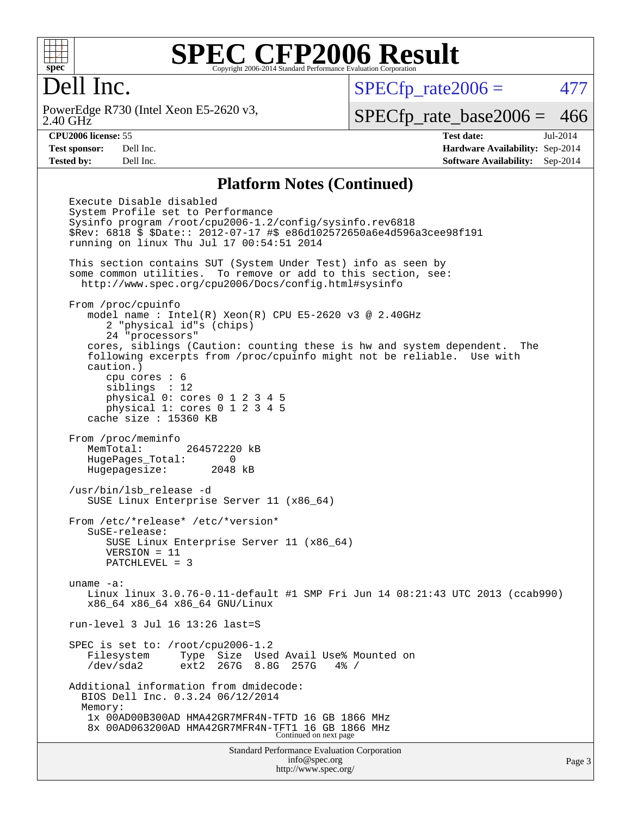

#### Dell Inc.

2.40 GHz PowerEdge R730 (Intel Xeon E5-2620 v3,  $SPECTp_rate2006 = 477$ 

[SPECfp\\_rate\\_base2006 =](http://www.spec.org/auto/cpu2006/Docs/result-fields.html#SPECfpratebase2006) 466

**[CPU2006 license:](http://www.spec.org/auto/cpu2006/Docs/result-fields.html#CPU2006license)** 55 **[Test date:](http://www.spec.org/auto/cpu2006/Docs/result-fields.html#Testdate)** Jul-2014 **[Test sponsor:](http://www.spec.org/auto/cpu2006/Docs/result-fields.html#Testsponsor)** Dell Inc. **[Hardware Availability:](http://www.spec.org/auto/cpu2006/Docs/result-fields.html#HardwareAvailability)** Sep-2014 **[Tested by:](http://www.spec.org/auto/cpu2006/Docs/result-fields.html#Testedby)** Dell Inc. **[Software Availability:](http://www.spec.org/auto/cpu2006/Docs/result-fields.html#SoftwareAvailability)** Sep-2014

#### **[Platform Notes \(Continued\)](http://www.spec.org/auto/cpu2006/Docs/result-fields.html#PlatformNotes)**

Standard Performance Evaluation Corporation [info@spec.org](mailto:info@spec.org) Execute Disable disabled System Profile set to Performance Sysinfo program /root/cpu2006-1.2/config/sysinfo.rev6818 \$Rev: 6818 \$ \$Date:: 2012-07-17 #\$ e86d102572650a6e4d596a3cee98f191 running on linux Thu Jul 17 00:54:51 2014 This section contains SUT (System Under Test) info as seen by some common utilities. To remove or add to this section, see: <http://www.spec.org/cpu2006/Docs/config.html#sysinfo> From /proc/cpuinfo model name : Intel(R) Xeon(R) CPU E5-2620 v3 @ 2.40GHz 2 "physical id"s (chips) 24 "processors" cores, siblings (Caution: counting these is hw and system dependent. The following excerpts from /proc/cpuinfo might not be reliable. Use with caution.) cpu cores : 6 siblings : 12 physical 0: cores 0 1 2 3 4 5 physical 1: cores 0 1 2 3 4 5 cache size : 15360 KB From /proc/meminfo MemTotal: 264572220 kB HugePages\_Total: 0 Hugepagesize: 2048 kB /usr/bin/lsb\_release -d SUSE Linux Enterprise Server 11 (x86\_64) From /etc/\*release\* /etc/\*version\* SuSE-release: SUSE Linux Enterprise Server 11 (x86\_64) VERSION = 11 PATCHLEVEL = 3 uname -a: Linux linux 3.0.76-0.11-default #1 SMP Fri Jun 14 08:21:43 UTC 2013 (ccab990) x86\_64 x86\_64 x86\_64 GNU/Linux run-level 3 Jul 16 13:26 last=S SPEC is set to: /root/cpu2006-1.2 Filesystem Type Size Used Avail Use% Mounted on /dev/sda2 ext2 267G 8.8G 257G 4% / Additional information from dmidecode: BIOS Dell Inc. 0.3.24 06/12/2014 Memory: 1x 00AD00B300AD HMA42GR7MFR4N-TFTD 16 GB 1866 MHz 8x 00AD063200AD HMA42GR7MFR4N-TFT1 16 GB 1866 MHz Continued on next page

<http://www.spec.org/>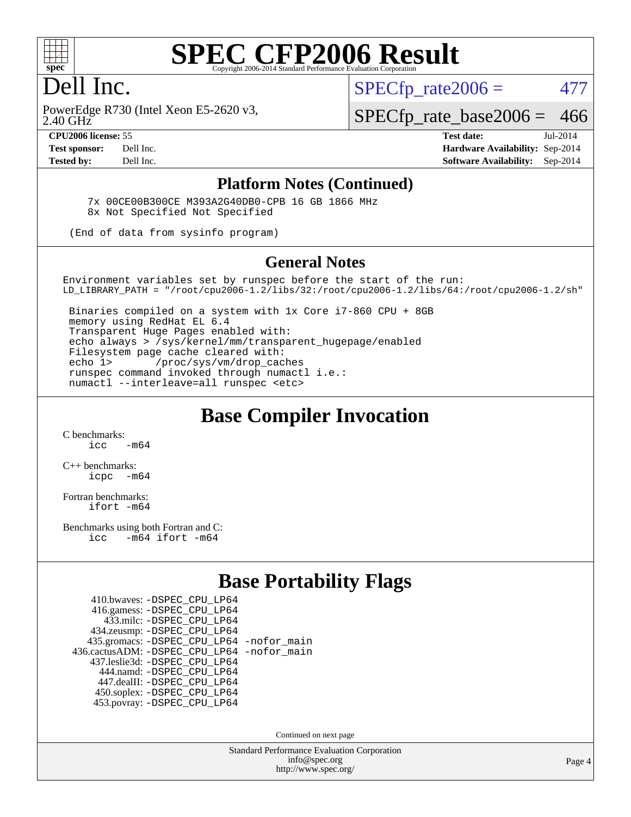

#### Dell Inc.

 $SPECTp\_rate2006 = 477$ 

2.40 GHz PowerEdge R730 (Intel Xeon E5-2620 v3, [SPECfp\\_rate\\_base2006 =](http://www.spec.org/auto/cpu2006/Docs/result-fields.html#SPECfpratebase2006) 466

**[CPU2006 license:](http://www.spec.org/auto/cpu2006/Docs/result-fields.html#CPU2006license)** 55 **[Test date:](http://www.spec.org/auto/cpu2006/Docs/result-fields.html#Testdate)** Jul-2014 **[Test sponsor:](http://www.spec.org/auto/cpu2006/Docs/result-fields.html#Testsponsor)** Dell Inc. **[Hardware Availability:](http://www.spec.org/auto/cpu2006/Docs/result-fields.html#HardwareAvailability)** Sep-2014 **[Tested by:](http://www.spec.org/auto/cpu2006/Docs/result-fields.html#Testedby)** Dell Inc. **[Software Availability:](http://www.spec.org/auto/cpu2006/Docs/result-fields.html#SoftwareAvailability)** Sep-2014

#### **[Platform Notes \(Continued\)](http://www.spec.org/auto/cpu2006/Docs/result-fields.html#PlatformNotes)**

 7x 00CE00B300CE M393A2G40DB0-CPB 16 GB 1866 MHz 8x Not Specified Not Specified

(End of data from sysinfo program)

#### **[General Notes](http://www.spec.org/auto/cpu2006/Docs/result-fields.html#GeneralNotes)**

Environment variables set by runspec before the start of the run: LD\_LIBRARY\_PATH = "/root/cpu2006-1.2/libs/32:/root/cpu2006-1.2/libs/64:/root/cpu2006-1.2/sh"

 Binaries compiled on a system with 1x Core i7-860 CPU + 8GB memory using RedHat EL 6.4 Transparent Huge Pages enabled with: echo always > /sys/kernel/mm/transparent\_hugepage/enabled Filesystem page cache cleared with: echo 1> /proc/sys/vm/drop\_caches runspec command invoked through numactl i.e.: numactl --interleave=all runspec <etc>

#### **[Base Compiler Invocation](http://www.spec.org/auto/cpu2006/Docs/result-fields.html#BaseCompilerInvocation)**

[C benchmarks](http://www.spec.org/auto/cpu2006/Docs/result-fields.html#Cbenchmarks):  $\frac{1}{2}$  cc  $-$  m64

[C++ benchmarks:](http://www.spec.org/auto/cpu2006/Docs/result-fields.html#CXXbenchmarks) [icpc -m64](http://www.spec.org/cpu2006/results/res2014q3/cpu2006-20140909-31325.flags.html#user_CXXbase_intel_icpc_64bit_bedb90c1146cab66620883ef4f41a67e)

[Fortran benchmarks](http://www.spec.org/auto/cpu2006/Docs/result-fields.html#Fortranbenchmarks): [ifort -m64](http://www.spec.org/cpu2006/results/res2014q3/cpu2006-20140909-31325.flags.html#user_FCbase_intel_ifort_64bit_ee9d0fb25645d0210d97eb0527dcc06e)

[Benchmarks using both Fortran and C](http://www.spec.org/auto/cpu2006/Docs/result-fields.html#BenchmarksusingbothFortranandC): [icc -m64](http://www.spec.org/cpu2006/results/res2014q3/cpu2006-20140909-31325.flags.html#user_CC_FCbase_intel_icc_64bit_0b7121f5ab7cfabee23d88897260401c) [ifort -m64](http://www.spec.org/cpu2006/results/res2014q3/cpu2006-20140909-31325.flags.html#user_CC_FCbase_intel_ifort_64bit_ee9d0fb25645d0210d97eb0527dcc06e)

#### **[Base Portability Flags](http://www.spec.org/auto/cpu2006/Docs/result-fields.html#BasePortabilityFlags)**

| 410.bwaves: - DSPEC CPU LP64                 |  |
|----------------------------------------------|--|
| 416.gamess: -DSPEC_CPU_LP64                  |  |
| 433.milc: - DSPEC_CPU LP64                   |  |
| 434.zeusmp: -DSPEC_CPU_LP64                  |  |
| 435.gromacs: -DSPEC_CPU_LP64 -nofor_main     |  |
| 436.cactusADM: - DSPEC CPU LP64 - nofor main |  |
| 437.leslie3d: -DSPEC CPU LP64                |  |
| 444.namd: - DSPEC_CPU_LP64                   |  |
| 447.dealII: -DSPEC CPU LP64                  |  |
| 450.soplex: -DSPEC_CPU_LP64                  |  |
| 453.povray: -DSPEC CPU LP64                  |  |

Continued on next page

Standard Performance Evaluation Corporation [info@spec.org](mailto:info@spec.org) <http://www.spec.org/>

Page 4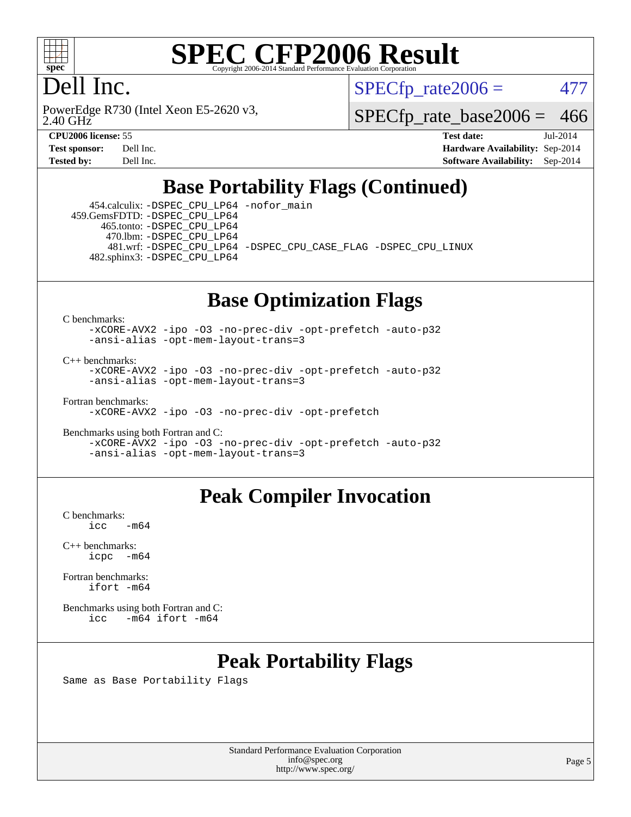

### Dell Inc.

2.40 GHz PowerEdge R730 (Intel Xeon E5-2620 v3,  $SPECTp\_rate2006 = 477$ 

[SPECfp\\_rate\\_base2006 =](http://www.spec.org/auto/cpu2006/Docs/result-fields.html#SPECfpratebase2006) 466

**[CPU2006 license:](http://www.spec.org/auto/cpu2006/Docs/result-fields.html#CPU2006license)** 55 **[Test date:](http://www.spec.org/auto/cpu2006/Docs/result-fields.html#Testdate)** Jul-2014 **[Test sponsor:](http://www.spec.org/auto/cpu2006/Docs/result-fields.html#Testsponsor)** Dell Inc. **[Hardware Availability:](http://www.spec.org/auto/cpu2006/Docs/result-fields.html#HardwareAvailability)** Sep-2014 **[Tested by:](http://www.spec.org/auto/cpu2006/Docs/result-fields.html#Testedby)** Dell Inc. **[Software Availability:](http://www.spec.org/auto/cpu2006/Docs/result-fields.html#SoftwareAvailability)** Sep-2014

#### **[Base Portability Flags \(Continued\)](http://www.spec.org/auto/cpu2006/Docs/result-fields.html#BasePortabilityFlags)**

 454.calculix: [-DSPEC\\_CPU\\_LP64](http://www.spec.org/cpu2006/results/res2014q3/cpu2006-20140909-31325.flags.html#suite_basePORTABILITY454_calculix_DSPEC_CPU_LP64) [-nofor\\_main](http://www.spec.org/cpu2006/results/res2014q3/cpu2006-20140909-31325.flags.html#user_baseLDPORTABILITY454_calculix_f-nofor_main) 459.GemsFDTD: [-DSPEC\\_CPU\\_LP64](http://www.spec.org/cpu2006/results/res2014q3/cpu2006-20140909-31325.flags.html#suite_basePORTABILITY459_GemsFDTD_DSPEC_CPU_LP64) 465.tonto: [-DSPEC\\_CPU\\_LP64](http://www.spec.org/cpu2006/results/res2014q3/cpu2006-20140909-31325.flags.html#suite_basePORTABILITY465_tonto_DSPEC_CPU_LP64) 470.lbm: [-DSPEC\\_CPU\\_LP64](http://www.spec.org/cpu2006/results/res2014q3/cpu2006-20140909-31325.flags.html#suite_basePORTABILITY470_lbm_DSPEC_CPU_LP64) 481.wrf: [-DSPEC\\_CPU\\_LP64](http://www.spec.org/cpu2006/results/res2014q3/cpu2006-20140909-31325.flags.html#suite_basePORTABILITY481_wrf_DSPEC_CPU_LP64) [-DSPEC\\_CPU\\_CASE\\_FLAG](http://www.spec.org/cpu2006/results/res2014q3/cpu2006-20140909-31325.flags.html#b481.wrf_baseCPORTABILITY_DSPEC_CPU_CASE_FLAG) [-DSPEC\\_CPU\\_LINUX](http://www.spec.org/cpu2006/results/res2014q3/cpu2006-20140909-31325.flags.html#b481.wrf_baseCPORTABILITY_DSPEC_CPU_LINUX) 482.sphinx3: [-DSPEC\\_CPU\\_LP64](http://www.spec.org/cpu2006/results/res2014q3/cpu2006-20140909-31325.flags.html#suite_basePORTABILITY482_sphinx3_DSPEC_CPU_LP64)

#### **[Base Optimization Flags](http://www.spec.org/auto/cpu2006/Docs/result-fields.html#BaseOptimizationFlags)**

[C benchmarks](http://www.spec.org/auto/cpu2006/Docs/result-fields.html#Cbenchmarks):

[-xCORE-AVX2](http://www.spec.org/cpu2006/results/res2014q3/cpu2006-20140909-31325.flags.html#user_CCbase_f-xAVX2_5f5fc0cbe2c9f62c816d3e45806c70d7) [-ipo](http://www.spec.org/cpu2006/results/res2014q3/cpu2006-20140909-31325.flags.html#user_CCbase_f-ipo) [-O3](http://www.spec.org/cpu2006/results/res2014q3/cpu2006-20140909-31325.flags.html#user_CCbase_f-O3) [-no-prec-div](http://www.spec.org/cpu2006/results/res2014q3/cpu2006-20140909-31325.flags.html#user_CCbase_f-no-prec-div) [-opt-prefetch](http://www.spec.org/cpu2006/results/res2014q3/cpu2006-20140909-31325.flags.html#user_CCbase_f-opt-prefetch) [-auto-p32](http://www.spec.org/cpu2006/results/res2014q3/cpu2006-20140909-31325.flags.html#user_CCbase_f-auto-p32) [-ansi-alias](http://www.spec.org/cpu2006/results/res2014q3/cpu2006-20140909-31325.flags.html#user_CCbase_f-ansi-alias) [-opt-mem-layout-trans=3](http://www.spec.org/cpu2006/results/res2014q3/cpu2006-20140909-31325.flags.html#user_CCbase_f-opt-mem-layout-trans_a7b82ad4bd7abf52556d4961a2ae94d5)

[C++ benchmarks:](http://www.spec.org/auto/cpu2006/Docs/result-fields.html#CXXbenchmarks)

[-xCORE-AVX2](http://www.spec.org/cpu2006/results/res2014q3/cpu2006-20140909-31325.flags.html#user_CXXbase_f-xAVX2_5f5fc0cbe2c9f62c816d3e45806c70d7) [-ipo](http://www.spec.org/cpu2006/results/res2014q3/cpu2006-20140909-31325.flags.html#user_CXXbase_f-ipo) [-O3](http://www.spec.org/cpu2006/results/res2014q3/cpu2006-20140909-31325.flags.html#user_CXXbase_f-O3) [-no-prec-div](http://www.spec.org/cpu2006/results/res2014q3/cpu2006-20140909-31325.flags.html#user_CXXbase_f-no-prec-div) [-opt-prefetch](http://www.spec.org/cpu2006/results/res2014q3/cpu2006-20140909-31325.flags.html#user_CXXbase_f-opt-prefetch) [-auto-p32](http://www.spec.org/cpu2006/results/res2014q3/cpu2006-20140909-31325.flags.html#user_CXXbase_f-auto-p32) [-ansi-alias](http://www.spec.org/cpu2006/results/res2014q3/cpu2006-20140909-31325.flags.html#user_CXXbase_f-ansi-alias) [-opt-mem-layout-trans=3](http://www.spec.org/cpu2006/results/res2014q3/cpu2006-20140909-31325.flags.html#user_CXXbase_f-opt-mem-layout-trans_a7b82ad4bd7abf52556d4961a2ae94d5)

[Fortran benchmarks](http://www.spec.org/auto/cpu2006/Docs/result-fields.html#Fortranbenchmarks):

[-xCORE-AVX2](http://www.spec.org/cpu2006/results/res2014q3/cpu2006-20140909-31325.flags.html#user_FCbase_f-xAVX2_5f5fc0cbe2c9f62c816d3e45806c70d7) [-ipo](http://www.spec.org/cpu2006/results/res2014q3/cpu2006-20140909-31325.flags.html#user_FCbase_f-ipo) [-O3](http://www.spec.org/cpu2006/results/res2014q3/cpu2006-20140909-31325.flags.html#user_FCbase_f-O3) [-no-prec-div](http://www.spec.org/cpu2006/results/res2014q3/cpu2006-20140909-31325.flags.html#user_FCbase_f-no-prec-div) [-opt-prefetch](http://www.spec.org/cpu2006/results/res2014q3/cpu2006-20140909-31325.flags.html#user_FCbase_f-opt-prefetch)

[Benchmarks using both Fortran and C](http://www.spec.org/auto/cpu2006/Docs/result-fields.html#BenchmarksusingbothFortranandC): [-xCORE-AVX2](http://www.spec.org/cpu2006/results/res2014q3/cpu2006-20140909-31325.flags.html#user_CC_FCbase_f-xAVX2_5f5fc0cbe2c9f62c816d3e45806c70d7) [-ipo](http://www.spec.org/cpu2006/results/res2014q3/cpu2006-20140909-31325.flags.html#user_CC_FCbase_f-ipo) [-O3](http://www.spec.org/cpu2006/results/res2014q3/cpu2006-20140909-31325.flags.html#user_CC_FCbase_f-O3) [-no-prec-div](http://www.spec.org/cpu2006/results/res2014q3/cpu2006-20140909-31325.flags.html#user_CC_FCbase_f-no-prec-div) [-opt-prefetch](http://www.spec.org/cpu2006/results/res2014q3/cpu2006-20140909-31325.flags.html#user_CC_FCbase_f-opt-prefetch) [-auto-p32](http://www.spec.org/cpu2006/results/res2014q3/cpu2006-20140909-31325.flags.html#user_CC_FCbase_f-auto-p32) [-ansi-alias](http://www.spec.org/cpu2006/results/res2014q3/cpu2006-20140909-31325.flags.html#user_CC_FCbase_f-ansi-alias) [-opt-mem-layout-trans=3](http://www.spec.org/cpu2006/results/res2014q3/cpu2006-20140909-31325.flags.html#user_CC_FCbase_f-opt-mem-layout-trans_a7b82ad4bd7abf52556d4961a2ae94d5)

#### **[Peak Compiler Invocation](http://www.spec.org/auto/cpu2006/Docs/result-fields.html#PeakCompilerInvocation)**

[C benchmarks](http://www.spec.org/auto/cpu2006/Docs/result-fields.html#Cbenchmarks):  $-m64$ 

[C++ benchmarks:](http://www.spec.org/auto/cpu2006/Docs/result-fields.html#CXXbenchmarks) [icpc -m64](http://www.spec.org/cpu2006/results/res2014q3/cpu2006-20140909-31325.flags.html#user_CXXpeak_intel_icpc_64bit_bedb90c1146cab66620883ef4f41a67e)

[Fortran benchmarks](http://www.spec.org/auto/cpu2006/Docs/result-fields.html#Fortranbenchmarks): [ifort -m64](http://www.spec.org/cpu2006/results/res2014q3/cpu2006-20140909-31325.flags.html#user_FCpeak_intel_ifort_64bit_ee9d0fb25645d0210d97eb0527dcc06e)

[Benchmarks using both Fortran and C](http://www.spec.org/auto/cpu2006/Docs/result-fields.html#BenchmarksusingbothFortranandC): [icc -m64](http://www.spec.org/cpu2006/results/res2014q3/cpu2006-20140909-31325.flags.html#user_CC_FCpeak_intel_icc_64bit_0b7121f5ab7cfabee23d88897260401c) [ifort -m64](http://www.spec.org/cpu2006/results/res2014q3/cpu2006-20140909-31325.flags.html#user_CC_FCpeak_intel_ifort_64bit_ee9d0fb25645d0210d97eb0527dcc06e)

#### **[Peak Portability Flags](http://www.spec.org/auto/cpu2006/Docs/result-fields.html#PeakPortabilityFlags)**

Same as Base Portability Flags

Standard Performance Evaluation Corporation [info@spec.org](mailto:info@spec.org) <http://www.spec.org/>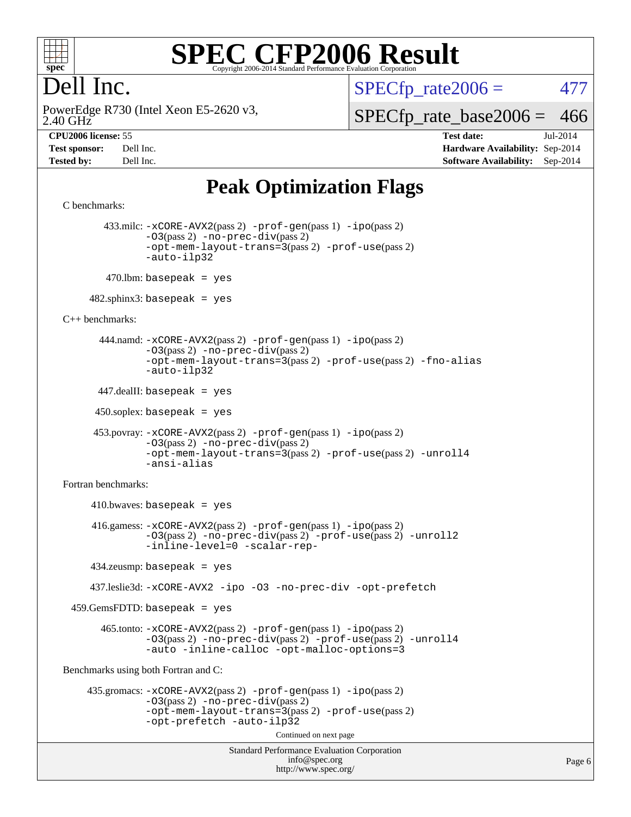

#### Dell Inc.

 $SPECTp\_rate2006 = 477$ 

2.40 GHz PowerEdge R730 (Intel Xeon E5-2620 v3, [SPECfp\\_rate\\_base2006 =](http://www.spec.org/auto/cpu2006/Docs/result-fields.html#SPECfpratebase2006) 466

**[CPU2006 license:](http://www.spec.org/auto/cpu2006/Docs/result-fields.html#CPU2006license)** 55 **[Test date:](http://www.spec.org/auto/cpu2006/Docs/result-fields.html#Testdate)** Jul-2014 **[Test sponsor:](http://www.spec.org/auto/cpu2006/Docs/result-fields.html#Testsponsor)** Dell Inc. **[Hardware Availability:](http://www.spec.org/auto/cpu2006/Docs/result-fields.html#HardwareAvailability)** Sep-2014 **[Tested by:](http://www.spec.org/auto/cpu2006/Docs/result-fields.html#Testedby)** Dell Inc. **[Software Availability:](http://www.spec.org/auto/cpu2006/Docs/result-fields.html#SoftwareAvailability)** Sep-2014

#### **[Peak Optimization Flags](http://www.spec.org/auto/cpu2006/Docs/result-fields.html#PeakOptimizationFlags)**

```
Standard Performance Evaluation Corporation
                                           info@spec.org
                                         http://www.spec.org/
C benchmarks: 
         433.milc: -xCORE-AVX2(pass 2) -prof-gen(pass 1) -ipo(pass 2)
                -03(pass 2) -no-prec-div(pass 2)-opt-mem-layout-trans=3(pass 2) -prof-use(pass 2)
                -auto-ilp32
        470.lbm: basepeak = yes
     482.sphinx3: basepeak = yes
C++ benchmarks: 
        444.namd: -xCORE-AVX2(pass 2) -prof-gen(pass 1) -ipo(pass 2)
                -O3(pass 2) -no-prec-div(pass 2)
                -opt-mem-layout-trans=3(pass 2) -prof-use(pass 2) -fno-alias
                -auto-ilp32
       447.dealII: basepeak = yes
      450.soplex: basepeak = yes
       453.povray: -xCORE-AVX2(pass 2) -prof-gen(pass 1) -ipo(pass 2)
                -O3(pass 2) -no-prec-div(pass 2)
                -opt-mem-layout-trans=3(pass 2) -prof-use(pass 2) -unroll4
                -ansi-alias
Fortran benchmarks: 
     410.bwaves: basepeak = yes 416.gamess: -xCORE-AVX2(pass 2) -prof-gen(pass 1) -ipo(pass 2)
                -O3(pass 2) -no-prec-div(pass 2) -prof-use(pass 2) -unroll2
                -inline-level=0 -scalar-rep-
      434.zeusmp: basepeak = yes
      437.leslie3d: -xCORE-AVX2 -ipo -O3 -no-prec-div -opt-prefetch
  459.GemsFDTD: basepeak = yes
        465.tonto: -xCORE-AVX2(pass 2) -prof-gen(pass 1) -ipo(pass 2)
                -O3(pass 2) -no-prec-div(pass 2) -prof-use(pass 2) -unroll4
                -auto -inline-calloc -opt-malloc-options=3
Benchmarks using both Fortran and C: 
     435.gromacs: -xCORE-AVX2(pass 2) -prof-gen(pass 1) -ipo(pass 2)
                -O3(pass 2) -no-prec-div(pass 2)
                -opt-mem-layout-trans=3(pass 2) -prof-use(pass 2)
                -opt-prefetch -auto-ilp32
                                         Continued on next page
```